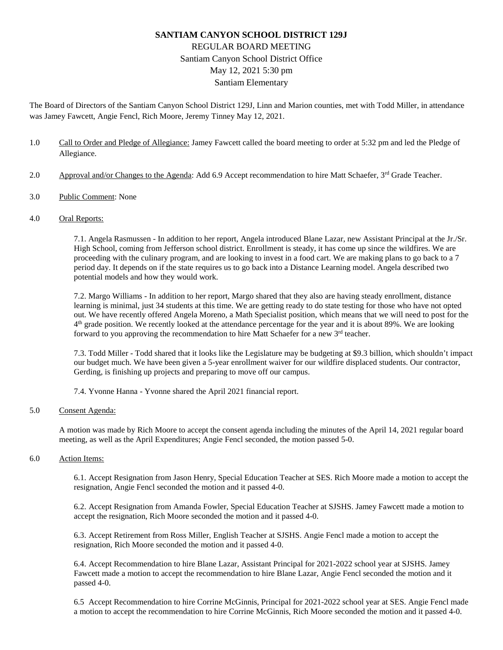## **SANTIAM CANYON SCHOOL DISTRICT 129J** REGULAR BOARD MEETING Santiam Canyon School District Office May 12, 2021 5:30 pm Santiam Elementary

The Board of Directors of the Santiam Canyon School District 129J, Linn and Marion counties, met with Todd Miller, in attendance was Jamey Fawcett, Angie Fencl, Rich Moore, Jeremy Tinney May 12, 2021.

- 1.0 Call to Order and Pledge of Allegiance: Jamey Fawcett called the board meeting to order at 5:32 pm and led the Pledge of Allegiance.
- 2.0 Approval and/or Changes to the Agenda: Add 6.9 Accept recommendation to hire Matt Schaefer, 3<sup>rd</sup> Grade Teacher.
- 3.0 Public Comment: None

## 4.0 Oral Reports:

7.1. Angela Rasmussen - In addition to her report, Angela introduced Blane Lazar, new Assistant Principal at the Jr./Sr. High School, coming from Jefferson school district. Enrollment is steady, it has come up since the wildfires. We are proceeding with the culinary program, and are looking to invest in a food cart. We are making plans to go back to a 7 period day. It depends on if the state requires us to go back into a Distance Learning model. Angela described two potential models and how they would work.

7.2. Margo Williams - In addition to her report, Margo shared that they also are having steady enrollment, distance learning is minimal, just 34 students at this time. We are getting ready to do state testing for those who have not opted out. We have recently offered Angela Moreno, a Math Specialist position, which means that we will need to post for the  $4<sup>th</sup>$  grade position. We recently looked at the attendance percentage for the year and it is about 89%. We are looking forward to you approving the recommendation to hire Matt Schaefer for a new 3<sup>rd</sup> teacher.

7.3. Todd Miller - Todd shared that it looks like the Legislature may be budgeting at \$9.3 billion, which shouldn't impact our budget much. We have been given a 5-year enrollment waiver for our wildfire displaced students. Our contractor, Gerding, is finishing up projects and preparing to move off our campus.

7.4. Yvonne Hanna - Yvonne shared the April 2021 financial report.

## 5.0 Consent Agenda:

A motion was made by Rich Moore to accept the consent agenda including the minutes of the April 14, 2021 regular board meeting, as well as the April Expenditures; Angie Fencl seconded, the motion passed 5-0.

6.0 Action Items:

6.1. Accept Resignation from Jason Henry, Special Education Teacher at SES. Rich Moore made a motion to accept the resignation, Angie Fencl seconded the motion and it passed 4-0.

6.2. Accept Resignation from Amanda Fowler, Special Education Teacher at SJSHS. Jamey Fawcett made a motion to accept the resignation, Rich Moore seconded the motion and it passed 4-0.

6.3. Accept Retirement from Ross Miller, English Teacher at SJSHS. Angie Fencl made a motion to accept the resignation, Rich Moore seconded the motion and it passed 4-0.

6.4. Accept Recommendation to hire Blane Lazar, Assistant Principal for 2021-2022 school year at SJSHS. Jamey Fawcett made a motion to accept the recommendation to hire Blane Lazar, Angie Fencl seconded the motion and it passed 4-0.

6.5 Accept Recommendation to hire Corrine McGinnis, Principal for 2021-2022 school year at SES. Angie Fencl made a motion to accept the recommendation to hire Corrine McGinnis, Rich Moore seconded the motion and it passed 4-0.